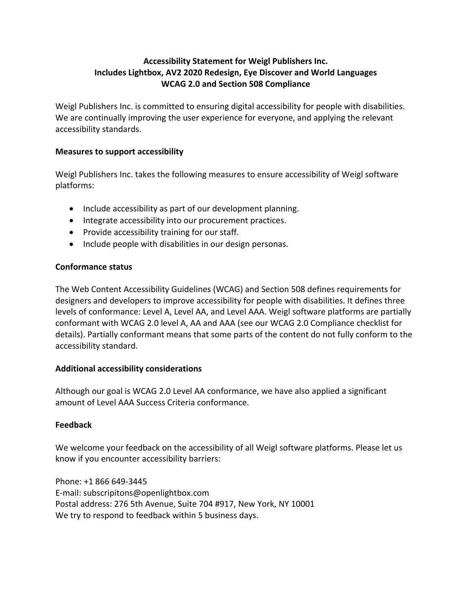# **Accessibility Statement for Weigl Publishers Inc. Includes Lightbox, AV2 2020 Redesign, Eye Discover and World Languages WCAG 2.0 and Section 508 Compliance**

Weigl Publishers Inc. is committed to ensuring digital accessibility for people with disabilities. We are continually improving the user experience for everyone, and applying the relevant accessibility standards.

### **Measures to support accessibility**

Weigl Publishers Inc. takes the following measures to ensure accessibility of Weigl software platforms:

- Include accessibility as part of our development planning.
- Integrate accessibility into our procurement practices.
- Provide accessibility training for our staff.
- Include people with disabilities in our design personas.

# **Conformance status**

The Web Content Accessibility Guidelines (WCAG) and Section 508 defines requirements for designers and developers to improve accessibility for people with disabilities. It defines three levels of conformance: Level A, Level AA, and Level AAA. Weigl software platforms are partially conformant with WCAG 2.0 level A, AA and AAA (see our WCAG 2.0 Compliance checklist for details). Partially conformant means that some parts of the content do not fully conform to the accessibility standard.

# **Additional accessibility considerations**

Although our goal is WCAG 2.0 Level AA conformance, we have also applied a significant amount of Level AAA Success Criteria conformance.

# **Feedback**

We welcome your feedback on the accessibility of all Weigl software platforms. Please let us know if you encounter accessibility barriers:

Phone: +1 866 649-3445 E-mail: subscripitons@openlightbox.com Postal address: 276 5th Avenue, Suite 704 #917, New York, NY 10001 We try to respond to feedback within 5 business days.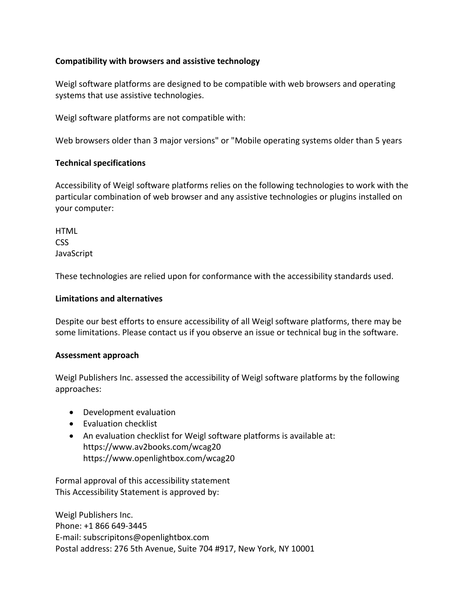## **Compatibility with browsers and assistive technology**

Weigl software platforms are designed to be compatible with web browsers and operating systems that use assistive technologies.

Weigl software platforms are not compatible with:

Web browsers older than 3 major versions" or "Mobile operating systems older than 5 years

### **Technical specifications**

Accessibility of Weigl software platforms relies on the following technologies to work with the particular combination of web browser and any assistive technologies or plugins installed on your computer:

**HTML** CSS **JavaScript** 

These technologies are relied upon for conformance with the accessibility standards used.

### **Limitations and alternatives**

Despite our best efforts to ensure accessibility of all Weigl software platforms, there may be some limitations. Please contact us if you observe an issue or technical bug in the software.

### **Assessment approach**

Weigl Publishers Inc. assessed the accessibility of Weigl software platforms by the following approaches:

- Development evaluation
- Evaluation checklist
- An evaluation checklist for Weigl software platforms is available at: https://www.av2books.com/wcag20 https://www.openlightbox.com/wcag20

Formal approval of this accessibility statement This Accessibility Statement is approved by:

Weigl Publishers Inc. Phone: +1 866 649-3445 E-mail: subscripitons@openlightbox.com Postal address: 276 5th Avenue, Suite 704 #917, New York, NY 10001